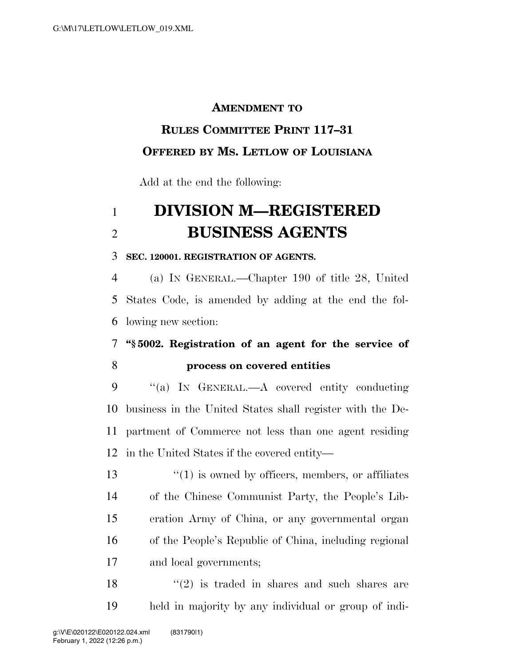#### **AMENDMENT TO**

## **RULES COMMITTEE PRINT 117–31**

### **OFFERED BY MS. LETLOW OF LOUISIANA**

Add at the end the following:

# **DIVISION M—REGISTERED BUSINESS AGENTS**

#### **SEC. 120001. REGISTRATION OF AGENTS.**

 (a) IN GENERAL.—Chapter 190 of title 28, United States Code, is amended by adding at the end the fol-lowing new section:

## **''§ 5002. Registration of an agent for the service of process on covered entities**

 ''(a) IN GENERAL.—A covered entity conducting business in the United States shall register with the De- partment of Commerce not less than one agent residing in the United States if the covered entity—

13 ''(1) is owned by officers, members, or affiliates of the Chinese Communist Party, the People's Lib- eration Army of China, or any governmental organ of the People's Republic of China, including regional and local governments;

18  $(2)$  is traded in shares and such shares are held in majority by any individual or group of indi-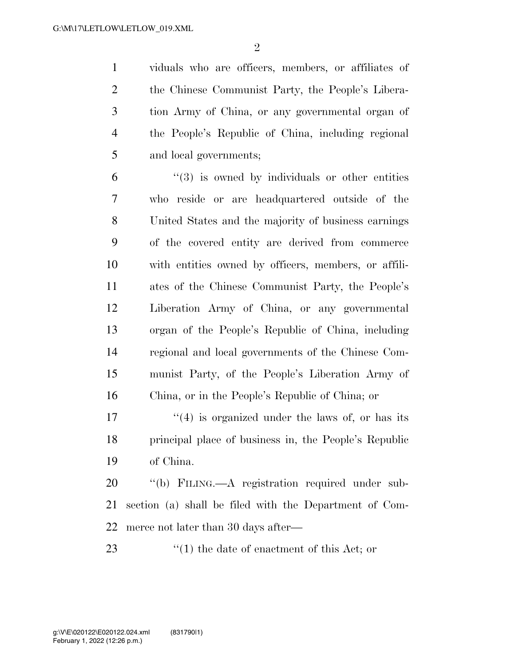viduals who are officers, members, or affiliates of the Chinese Communist Party, the People's Libera- tion Army of China, or any governmental organ of the People's Republic of China, including regional and local governments;

 "(3) is owned by individuals or other entities who reside or are headquartered outside of the United States and the majority of business earnings of the covered entity are derived from commerce with entities owned by officers, members, or affili- ates of the Chinese Communist Party, the People's Liberation Army of China, or any governmental organ of the People's Republic of China, including regional and local governments of the Chinese Com- munist Party, of the People's Liberation Army of China, or in the People's Republic of China; or

 $\frac{17}{2}$  ''(4) is organized under the laws of, or has its principal place of business in, the People's Republic of China.

 ''(b) FILING.—A registration required under sub- section (a) shall be filed with the Department of Com-merce not later than 30 days after—

23 ''(1) the date of enactment of this Act; or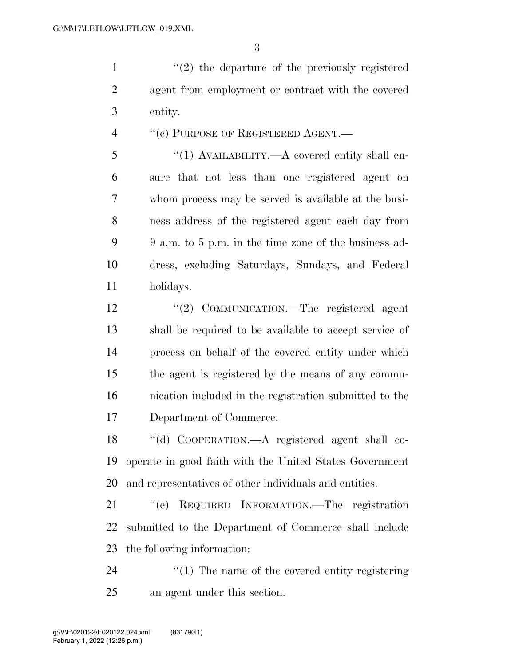1 ''(2) the departure of the previously registered agent from employment or contract with the covered entity.

4 "(c) PURPOSE OF REGISTERED AGENT.—

 ''(1) AVAILABILITY.—A covered entity shall en- sure that not less than one registered agent on whom process may be served is available at the busi- ness address of the registered agent each day from 9 a.m. to 5 p.m. in the time zone of the business ad- dress, excluding Saturdays, Sundays, and Federal holidays.

12 "(2) COMMUNICATION.—The registered agent shall be required to be available to accept service of process on behalf of the covered entity under which the agent is registered by the means of any commu- nication included in the registration submitted to the Department of Commerce.

 ''(d) COOPERATION.—A registered agent shall co- operate in good faith with the United States Government and representatives of other individuals and entities.

 ''(e) REQUIRED INFORMATION.—The registration submitted to the Department of Commerce shall include the following information:

24  $\gamma$  (1) The name of the covered entity registering an agent under this section.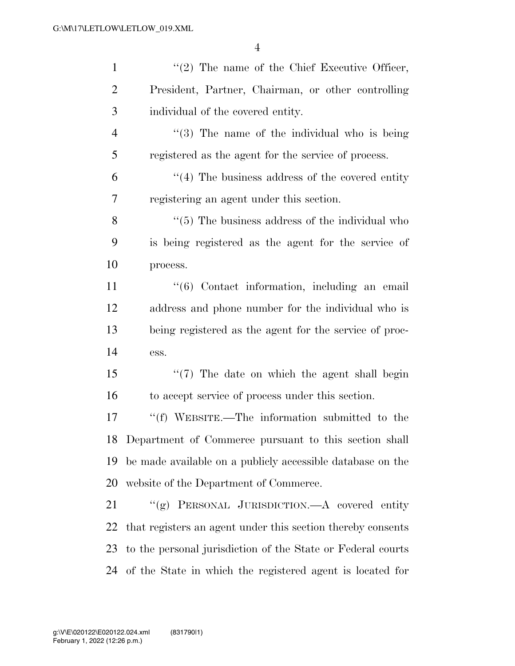| $\mathbf{1}$   | $\lq(2)$ The name of the Chief Executive Officer,            |
|----------------|--------------------------------------------------------------|
| $\overline{2}$ | President, Partner, Chairman, or other controlling           |
| 3              | individual of the covered entity.                            |
| $\overline{4}$ | $\lq(3)$ The name of the individual who is being             |
| 5              | registered as the agent for the service of process.          |
| 6              | $\cdot$ (4) The business address of the covered entity       |
| $\tau$         | registering an agent under this section.                     |
| 8              | $\cdot\cdot$ (5) The business address of the individual who  |
| 9              | is being registered as the agent for the service of          |
| 10             | process.                                                     |
| 11             | "(6) Contact information, including an email                 |
| 12             | address and phone number for the individual who is           |
| 13             | being registered as the agent for the service of proc-       |
| 14             | ess.                                                         |
| 15             | "(7) The date on which the agent shall begin                 |
| 16             | to accept service of process under this section.             |
| 17             | "(f) WEBSITE.—The information submitted to the               |
|                | 18 Department of Commerce pursuant to this section shall     |
| 19             | be made available on a publicly accessible database on the   |
| 20             | website of the Department of Commerce.                       |
| 21             | "(g) PERSONAL JURISDICTION.—A covered entity                 |
| 22             | that registers an agent under this section thereby consents  |
| 23             | to the personal jurisdiction of the State or Federal courts  |
|                | 24 of the State in which the registered agent is located for |
|                |                                                              |